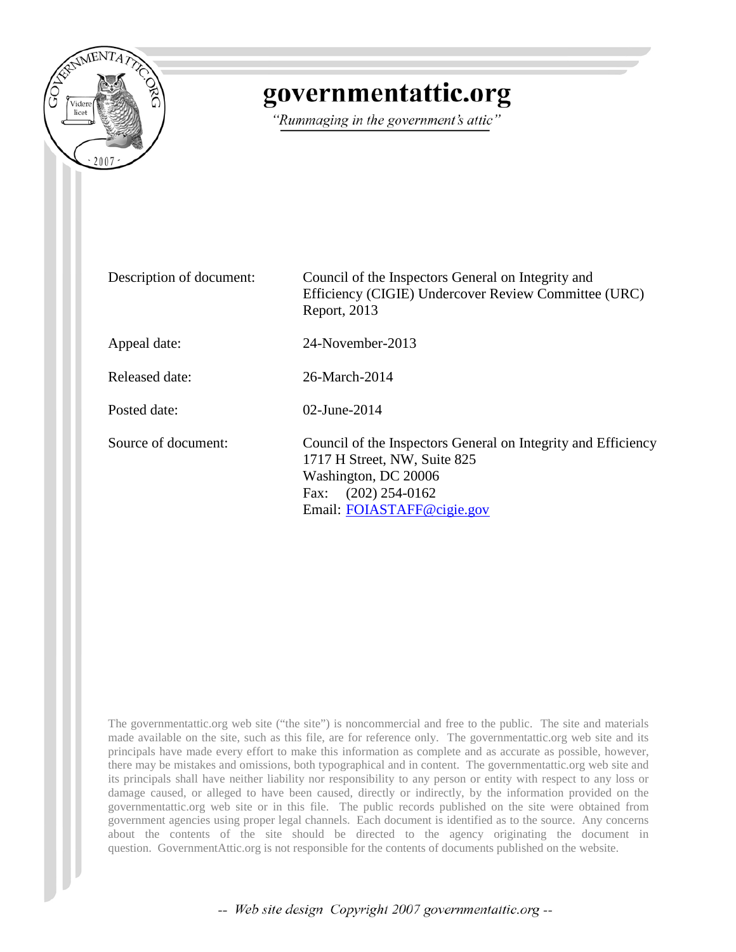

# governmentattic.org

"Rummaging in the government's attic"

| Description of document: | Council of the Inspectors General on Integrity and<br>Efficiency (CIGIE) Undercover Review Committee (URC)<br>Report, 2013                                                      |
|--------------------------|---------------------------------------------------------------------------------------------------------------------------------------------------------------------------------|
| Appeal date:             | 24-November-2013                                                                                                                                                                |
| Released date:           | 26-March-2014                                                                                                                                                                   |
| Posted date:             | 02-June-2014                                                                                                                                                                    |
| Source of document:      | Council of the Inspectors General on Integrity and Efficiency<br>1717 H Street, NW, Suite 825<br>Washington, DC 20006<br>$(202)$ 254-0162<br>Fax:<br>Email: FOIASTAFF@cigie.gov |

The governmentattic.org web site ("the site") is noncommercial and free to the public. The site and materials made available on the site, such as this file, are for reference only. The governmentattic.org web site and its principals have made every effort to make this information as complete and as accurate as possible, however, there may be mistakes and omissions, both typographical and in content. The governmentattic.org web site and its principals shall have neither liability nor responsibility to any person or entity with respect to any loss or damage caused, or alleged to have been caused, directly or indirectly, by the information provided on the governmentattic.org web site or in this file. The public records published on the site were obtained from government agencies using proper legal channels. Each document is identified as to the source. Any concerns about the contents of the site should be directed to the agency originating the document in question. GovernmentAttic.org is not responsible for the contents of documents published on the website.

-- Web site design Copyright 2007 governmentattic.org --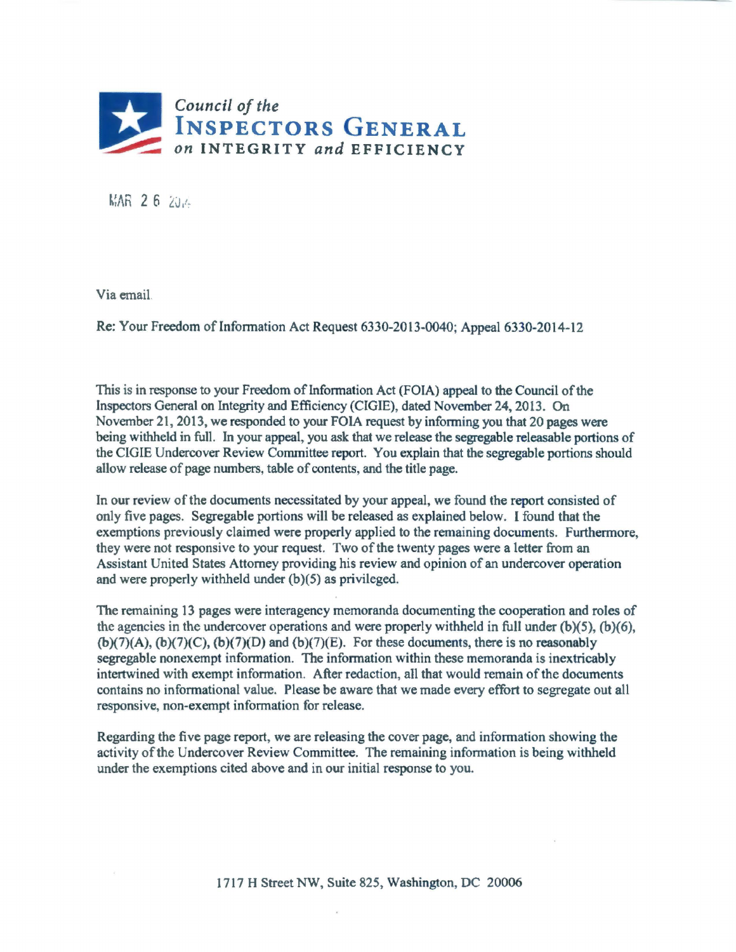

MAR 26 204

Via email.

Re: Your Freedom of Information Act Request 6330-2013-0040; Appeal 6330-2014-12

This is in response to your Freedom of lnfonnation Act (FOIA) appeal to the Council of the Inspectors General on Integrity and Efficiency (CIGIE), dated November 24, 2013. On November 21 , 2013, we responded to your FOIA request by informing you that 20 pages were being withheld in full. In your appeal, you ask that we release the segregable releasable portions of the CIGIE Undercover Review Committee report. You explain that the segregable portions should allow release of page nwnbers, table of contents, and the title page.

In our review of the documents necessitated by your appeal, we found the report consisted of only five pages. Segregable portions will be released as explained below. I found that the exemptions previously claimed were properly applied to the remaining documents. Furthermore, they were not responsive to your request. Two of the twenty pages were a letter from an Assistant United States Attorney providing his review and opinion of an undercover operation and were properly withheld under (b)(5) as privileged.

The remaining 13 pages were interagency memoranda documenting the cooperation and roles of the agencies in the undercover operations and were properly withheld in full under  $(b)(5)$ ,  $(b)(6)$ ,  $(b)(7)(A)$ ,  $(b)(7)(C)$ ,  $(b)(7)(D)$  and  $(b)(7)(E)$ . For these documents, there is no reasonably segregable nonexempt infonnation. The information within these memoranda is inextricably intertwined with exempt infonnation. After redaction, all that would remain of the documents contains no informational value. Please be aware that we made every effort to segregate out all responsive, non-exempt information for release.

Regarding the five page report, we are releasing the cover page, and information showing the activity of the Undercover Review Committee. The remaining infonnation is being withheld under the exemptions cited above and in our initial response to you.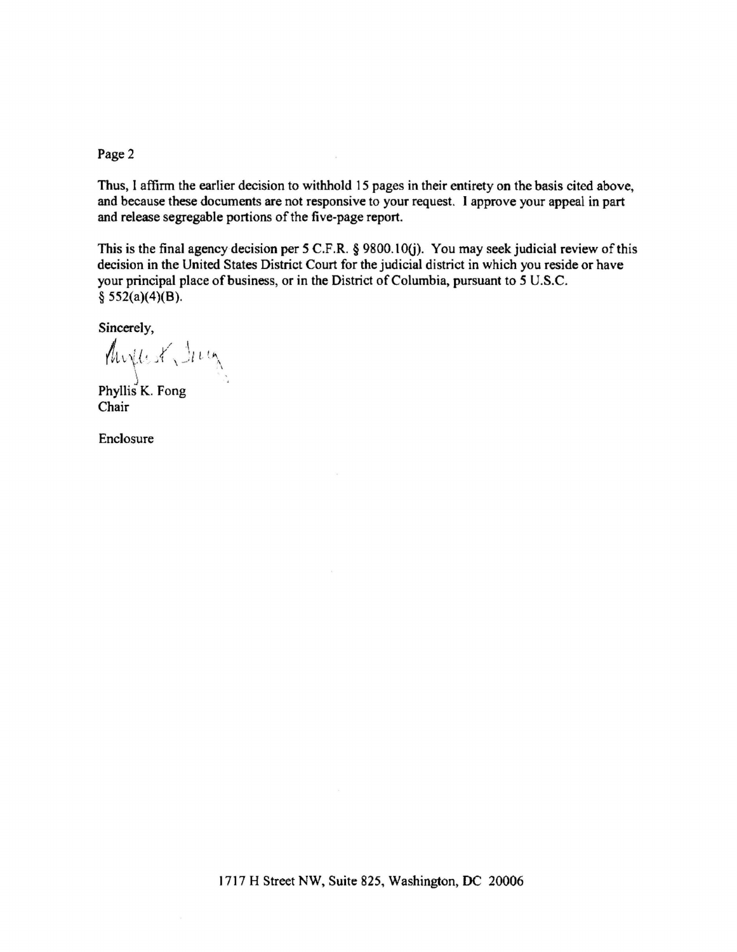Page 2

Thus, I affirm the earlier decision to withhold 15 pages in their entirety on the basis cited above, and because these documents are not responsive to your request. I approve your appeal in part and release segregable portions of the five-page report.

This is the final agency decision per 5 C.F.R. § 9800.10(j). You may seek judicial review of this decision in the United States District Court for the judicial district in which you reside or have your principal place of business, or in the District of Columbia, pursuant to *5* U.S.C.  $$552(a)(4)(B).$ 

Sincerely,

f  $f$   $f$   $f$   $f$  $\ell$ hryles ( )  $\iota$  in  $\mathcal{N}$  . The set of the set of the set of the set of the set of the set of the set of the set of the set of the set of the set of the set of the set of the set of the set of the set of the set of the set of the set of t

Phyllis K. Fong Chair

Enclosure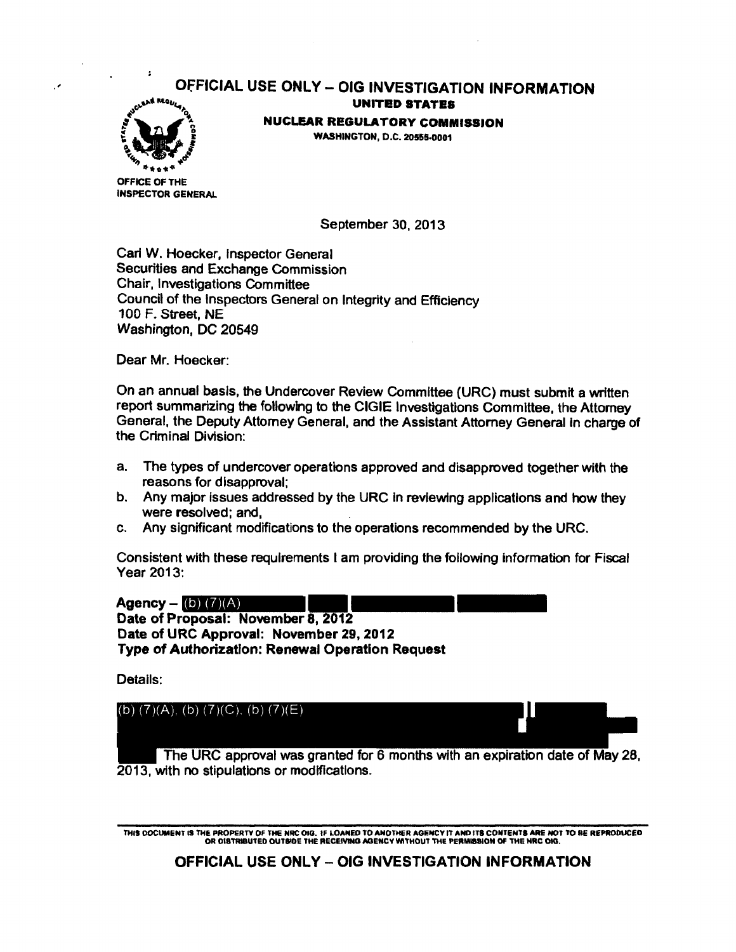#### OfFICIAL USE ONLY- OIG INVESTIGATION INFORMATION UNITED STATES



NUCLEAR REGULATORY COMMISSION WASHINGTON, D.C. 20555·0001

OFFICE OF THE INSPECTOR GENERAL

September 30, 2013

Carl W. Hoecker, Inspector General Securities and Exchange Commission Chair, Investigations Committee Council of the Inspectors General on Integrity and Efficiency 100 F. Street, NE Washington, DC 20549

Dear Mr. Hoecker:

On an annual basis, the Undercover Review Committee (URC) must submit a written report summarizing the following to the CIGIE Investigations Committee, the Attorney General, the Deputy Attorney General, and the Assistant Attorney General In charge of the Criminal Division:

- a. The types of undercover operations approved and disapproved together with the reasons for disapproval;
- b. Any major issues addressed by the URC in reviewing applications and how they were resolved; and,
- c. Any significant modifications to the operations recommended by the URC.

Consistent with these requirements I am providing the following information for Fiscal Year 2013:

Agency -  $(b)$   $(7)(A)$ Date of Proposal: November 8, 2012 Date of URC Approval: November 29, 2012 Type of Authorization: Renewal Operation Request

Details:



THIS DOCUMENT 19 THE PROPERTY OF THE NRC OIO. If LOANED TO ANOTHER AGENCY IT AND ITS CONTENTS ARE NOT TO BE REPRODUCED OR DIBTRIBUTED OUTSIDE THE RECEIVING AGENCY WITHOUT THE PERMISSION OF THE NRC OKI.

**OFFICIAL USE ONLY - OIG INVESTIGATION INFORMATION**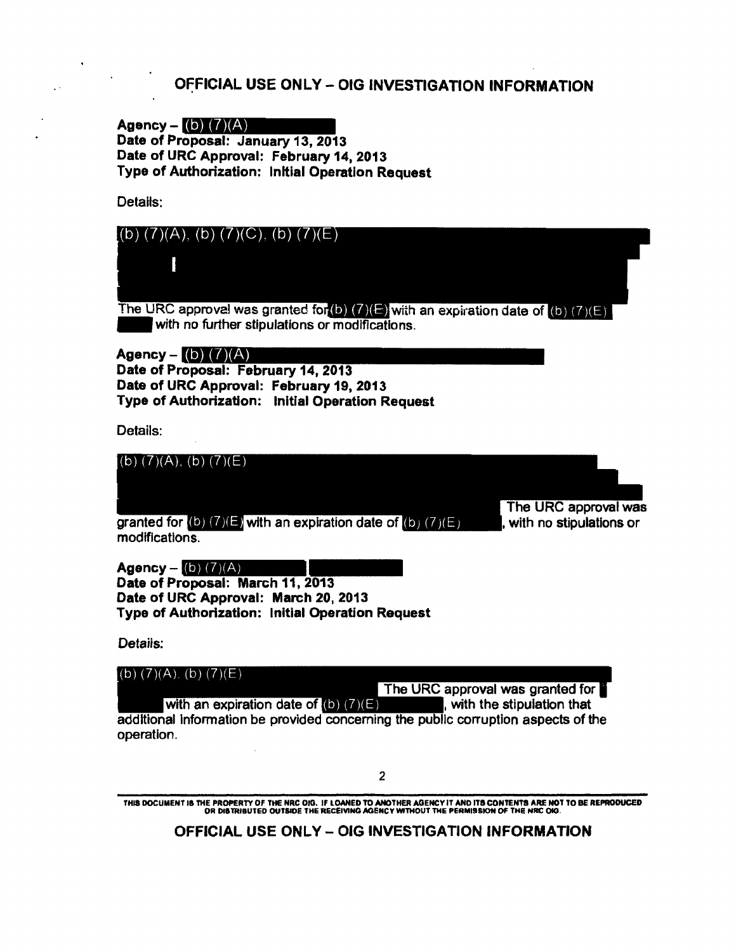#### OFFICIAL USE ONLY - OIG INVESTIGATION INFORMATION

Agency  $-$  (b)  $(7)(A)$ Date of Proposal: January 13, 2013 Date of URC Approval: February 14, 2013 Type of Authorization: Initial Operation Request

Details:



additional Information be provided concerning the public corruption aspects of the operation.

2

THIS DOCUMENT IS THE PROPERTY OF THE NRC OIG. IF LOANED TO ANOTHER AGENCY IT AND ITS CONTENTS ARE NOT TO BE REPRODUCED<br>OR DISTRIBUTED OUTSIDE THE RECEIVING AGENCY WITHOUT THE PERMISSION OF THE NRC OIO.

OFFICIAL USE ONLY - OIG INVESTIGATION INFORMATION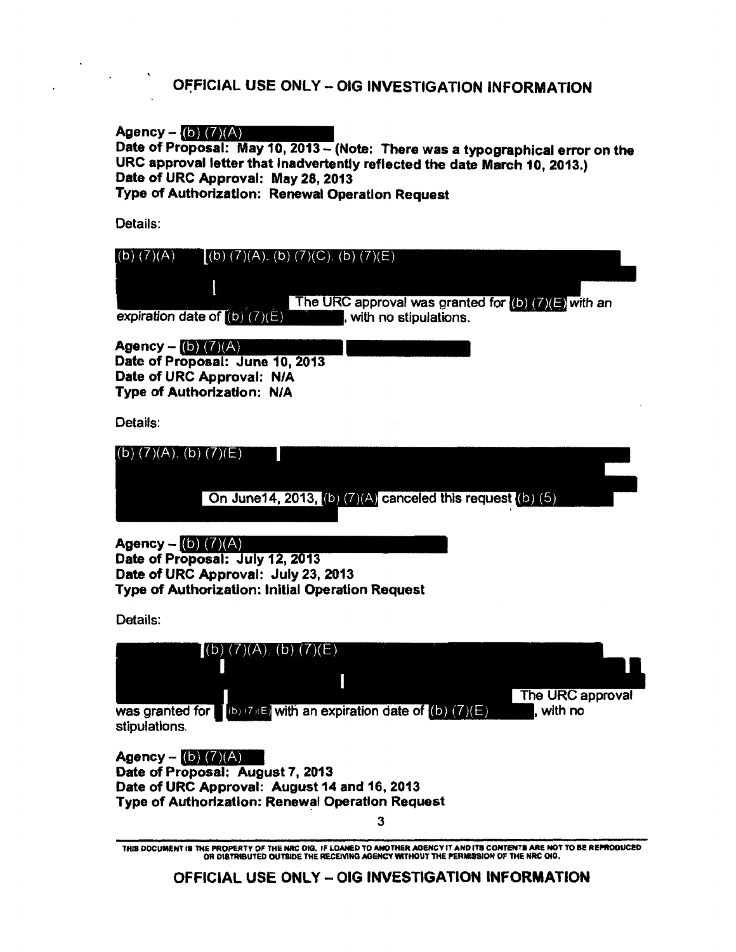### OFFICIAL USE ONLY - OIG INVESTIGATION INFORMATION

Agency -  $(b)$   $(7)(A)$ 

Date of Proposal: May 10, 2013 - (Note: There was a typographical error on the URC approval letter that Inadvertently reflected the date March 10, 2013.) Date of URC Approval: May 28, 2013

Type of Authorization: Renewal Operation Request

Details:

| $(b)$ $(7)(A)$<br>$(b)$ (7)(A), (b) (7)(C), (b) (7)(E)<br>The URC approval was granted for $\left($ <b>D</b> $\right)$ ( $\left($ <b>)</b> $\left($ <b>E</b> $\right)$ with an<br>expiration date of $(b)$ $(7)(E)$<br>, with no stipulations. |
|------------------------------------------------------------------------------------------------------------------------------------------------------------------------------------------------------------------------------------------------|
| <b>Agency</b> – (b) $(7)(A)$<br>Date of Proposal: June 10, 2013<br>Date of URC Approval: N/A<br>Type of Authorization: N/A                                                                                                                     |
| Details:                                                                                                                                                                                                                                       |
| $(b)$ $(7)(A)$ , $(b)$ $(7)(E)$<br>On June 14, 2013, (b) $(7)(A)$ canceled this request (b) $(5)$                                                                                                                                              |
| <b>Agency</b> - (b) $(7)(A)$<br>Date of Proposal: July 12, 2013<br>Date of URC Approval: July 23, 2013<br>Type of Authorization: Initial Operation Request                                                                                     |
| Details:                                                                                                                                                                                                                                       |
| $(b)$ (7)(A), (b) (7)(E)<br>The URC approval<br>was granted for $\left[ (b) (7)(E) \right]$ with an expiration date of $(b) (7)(E)$<br>, with no<br>stipulations.                                                                              |
| <b>Agency</b> – (b) $(7)(A)$<br>Date of Proposal: August 7, 2013<br>Date of URC Approval: August 14 and 16, 2013                                                                                                                               |

Type of Authorization: Renewal Operation Request

3

THIS DOCUMENT IS THE PROPERTY OF THE NRC OIG. IF LOANED TO ANOTHER AGENCY IT AND ITS CONTENTS ARE NOT TO BE REPRODUCED<br>OR DISTRIBUTED OUTSIDE THE RECEIVING AGENCY WITHOUT THE PERMISSION OF THE NRC OIG.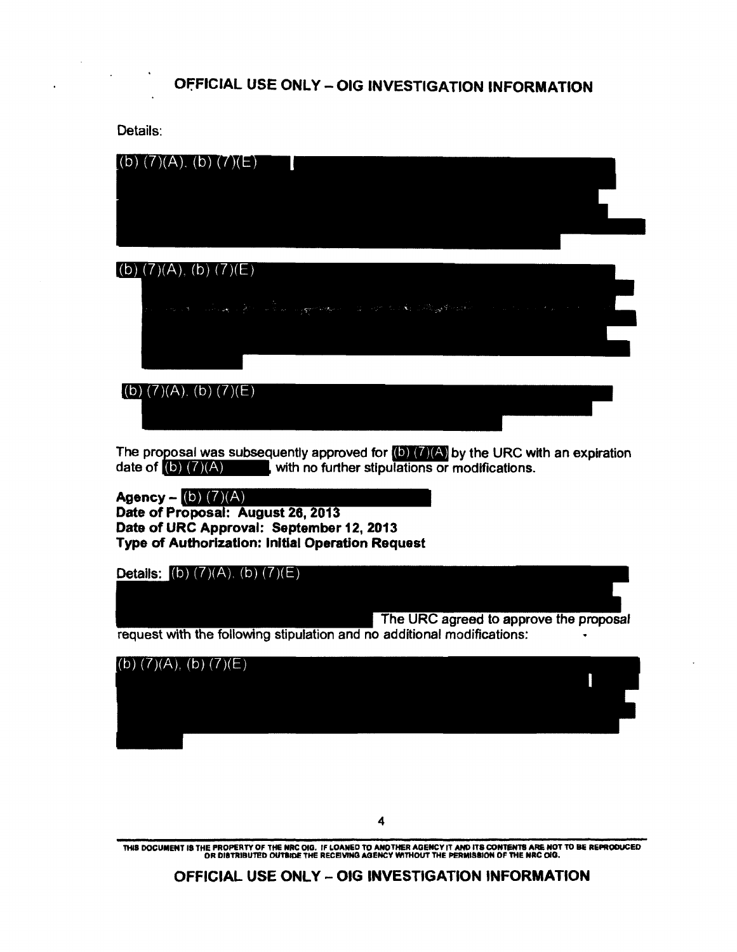### OfFICIAL USE ONLY-OIG INVESTIGATION INFORMATION

Details:



The URC agreed to approve the proposal request with the following stipulation and no additional modifications:



THIS DOCUMENT IS THE PROPERTY OF THE NRC OIG. IF LOANED TO ANOTHER AGENCY IT AND ITS CONTENTS ARE NOT TO BE REPRODUCED<br>OR DISTRIBUTED OUTSIDE THE RECEIVING AGENCY WITHOUT THE PERMISSION OF THE NRC OIG.